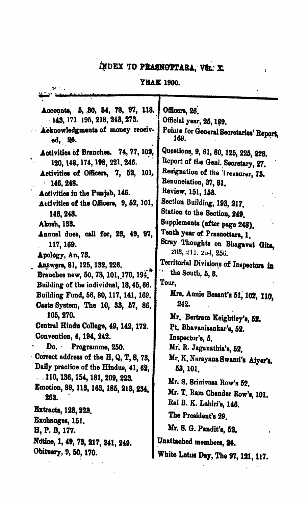# INDEX TO PRASNOTTARA, VOL. X

 $\ddot{\phantom{a}}$ 

### **YEAR 1900.**

| Accounts, 5, 30, 54, 78, 97, 118.<br>143, 171 195, 218, 243, 273.<br>Acknowledgments of money receiv-<br>ed, 26.<br>Activities of Branches. 74, 77, 102,<br>120, 148, 174, 198, 221, 246.<br>Activities of Officers, 7, 52, 101,<br>146, 248.<br>Activities in the Punjab, 146.<br>Activities of the Officers, 9, 52, 101,<br>146, 248.<br>Akash, 133.<br>Annual dues, call for, 23, 49, 97,<br>117, 169.<br>Apology, An, 73.<br>Answers, 81, 125, 132, 226.<br>Branches new, 50, 73, 101, 170, 194,<br>Building of the individual, 18, 45, 66.<br>Building Fund, 56, 80, 117, 141, 169.<br>Caste System, The 10, 33, 57, 86,<br>105, 270.<br>Central Hindu College, 49, 142, 172.<br>Convention, 4, 194, 242.<br>Do. ·<br>Programme, 250.<br>Correct address of the H, Q, T, S, 73,<br>Daily practice of the Hindus, 41, 62,<br>. . 110, 136, 154, 181, 209, 223.<br>Emotion, 89, 113, 163, 185, 213, 234,<br>262.<br><b>Extracts, 123, 223.</b><br>Exchanges, 151.<br>H, P. B, 177.<br>Notice, 1, 49, 73, 217, 241, 249.<br>Obituary, 9, 50, 170. | Officers, 26.<br>Official year, 25, 169.<br>Points for General Secretaries' Report,<br>169.<br>Questions, 9, 61, 80, 125, 225, 226.<br>Report of the Genl. Secretary, 27.<br>Resignation of the Treasurer, 73.<br>Renunciation, 37, 81.<br>Review, 151, 153.<br>Section Building, 193, 217.<br>Station to the Section, 249.<br>Supplements (after page 248).<br>Tenth year of Prasnottara, 1.<br>Stray Thoughts on Bhagavat Gita,<br>203, 211, 254, 256.<br>Territorial Divisions of Inspectors in<br>the South, 5, 3.<br>Tour,<br>Mrs. Annie Besant's 51, 102, 110,<br>242.<br>Mr. Bertram Keightley's, 52.<br>Pt. Bhavanisankar's, 52.<br>Inspector's, 5.<br>Mr. R. Jaganathia's, 52.<br>Mr. K. Narayana Swami's Aiyer's.<br>53, 101,<br>Mr. S. Srinivasa Row's 52.<br>Mr. T. Ram Chander Row's, 101.<br>Rai B. K. Lahiri's, 146.<br>The President's 29.<br>Mr. S. G. Pandit's, 52.<br>Unattached members, 24.<br>White Lotus Day, The 97, 121, 117. |
|-----------------------------------------------------------------------------------------------------------------------------------------------------------------------------------------------------------------------------------------------------------------------------------------------------------------------------------------------------------------------------------------------------------------------------------------------------------------------------------------------------------------------------------------------------------------------------------------------------------------------------------------------------------------------------------------------------------------------------------------------------------------------------------------------------------------------------------------------------------------------------------------------------------------------------------------------------------------------------------------------------------------------------------------------------|--------------------------------------------------------------------------------------------------------------------------------------------------------------------------------------------------------------------------------------------------------------------------------------------------------------------------------------------------------------------------------------------------------------------------------------------------------------------------------------------------------------------------------------------------------------------------------------------------------------------------------------------------------------------------------------------------------------------------------------------------------------------------------------------------------------------------------------------------------------------------------------------------------------------------------------------------------|